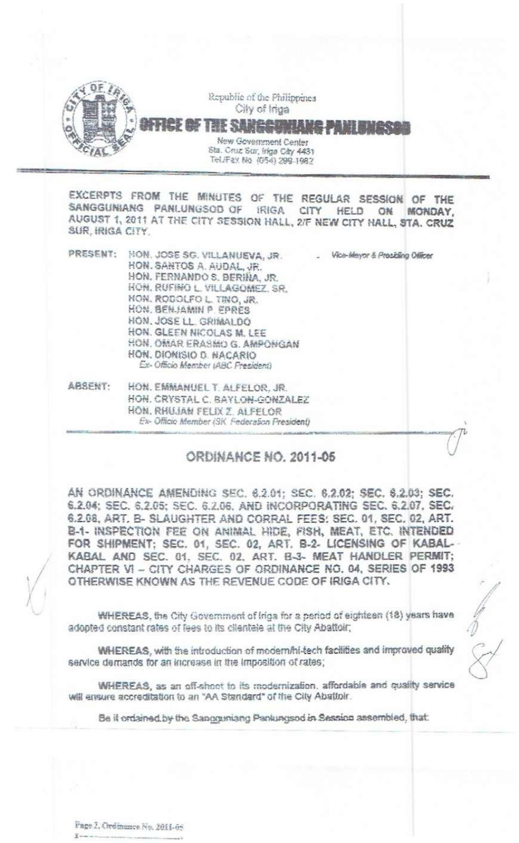

EXCERPTS FROM THE MINUTES OF THE REGULAR SESSION OF THE SANGGUNIANG PANLUNGSOD OF IRIGA CITY HELD ON MONDAY, AUGUST 1, 2011 AT THE CITY SESSION HALL, 2/F NEW CITY HALL, STA. CRUZ SUR, IRIGA CITY.

| PRESENT: | HON. JOSE SG. VILLANUEVA, JR.<br>HON, SANTOS A. AUDAL, JR.<br>HON. FERNANDO S. BERINA, JR.<br>HON, RUFINO L. VILLAGOMEZ, SR.<br>HON. RODOLFO L. TINO, JR.<br>HON, BENJAMIN P. EPRES<br>HON. JOSE LL. GRIMALDO<br>HON. GLEEN NICOLAS M. LEE<br>HON, OMAR ERASMO G. AMPONGAN<br>HON, DIONISIO D. NACARIO<br>Ex-Officio Member (ABC Fresident) | Vice-Meyor & Presiding Officer |
|----------|---------------------------------------------------------------------------------------------------------------------------------------------------------------------------------------------------------------------------------------------------------------------------------------------------------------------------------------------|--------------------------------|
| ABSENT:  | HON. EMMANUEL T. ALFELOR, JR.<br>HON, CRYSTAL C. BAYLON-GONZALEZ<br>HON, RHUJAN FELIX Z. ALFELOR<br>Ex- Officio Member (SK Federation Fresident)                                                                                                                                                                                            |                                |

# **ORDINANCE NO. 2011-05**

AN ORDINANCE AMENDING SEC. 6.2.01; SEC. 6.2.02; SEC. 6.2.03; SEC. 6.2.04; SEC. 6.2.05; SEC. 6.2.06, AND INCORPORATING SEC. 6.2.07, SEC. 6.2.08, ART, B- SLAUGHTER AND CORRAL FEES: SEC. 01, SEC. 02, ART. B-1- INSPECTION FEE ON ANIMAL HIDE, FISH, MEAT, ETC. INTENDED FOR SHIPMENT; SEC. 01, SEC. 02, ART. B-2- LICENSING OF KABAL-KABAL AND SEC. 01, SEC. 02, ART. B-3- MEAT HANDLER PERMIT; CHAPTER VI - CITY CHARGES OF ORDINANCE NO. 04, SERIES OF 1993 OTHERWISE KNOWN AS THE REVENUE CODE OF IRIGA CITY.

WHEREAS, the City Government of Irida for a period of eighteen (18) years have adopted constant rates of fees to its clientele at the City Abattoir;

WHEREAS, with the introduction of modern/hi-tech facilities and improved quality service demands for an increase in the imposition of rates;

WHEREAS, as an off-shoot to its modernization, affordable and quality service will ensure accreditation to an "AA Standard" of the City Abattoir.

Be if ordained by the Sancouniang Panlungsod in Session assembled, that: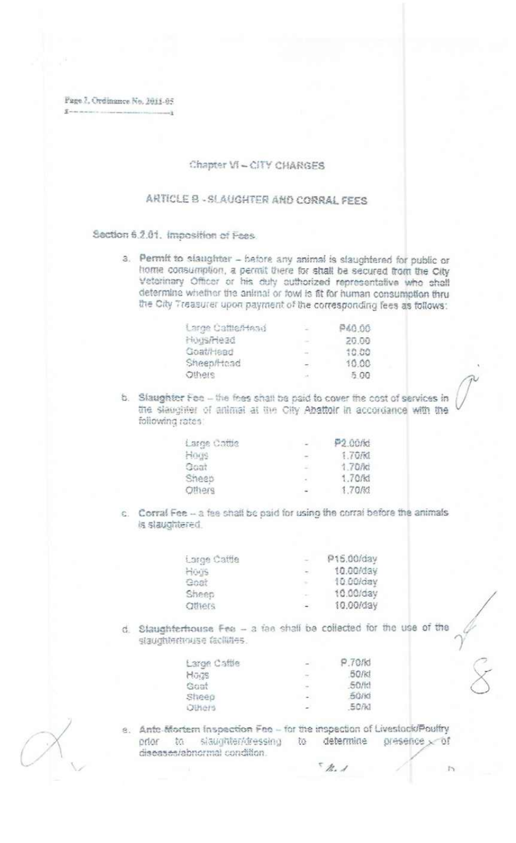Fage 2, Ordinance No. 2011-05  $\overline{Y}$  was made as

## Chapter VI - CITY CHARGES

# ARTICLE B - SLAUGHTER AND CORRAL FEES

### Section 6.2.01. Imposition of Fees.

a. Permit to siaughter - before any animal is slaughtered for public or home consumption, a permit there for shall be secured from the City Veterinary Officer or his duly authorized representative who shall determine whether the animal or fowl is fit for human consumption thru the City Treasurer upon payment of the corresponding fees as follows:

| Large Cameriess | - 22    | P40.00 |
|-----------------|---------|--------|
| HUISPIAGO       | $\sim$  | 20.00  |
| Goathlead       | $-$     | 10.00  |
| Sheep/Hoad      | $\sim$  | 10.00  |
| Others          | Control | -5.00  |

b. Slaughter Fee - the fees shall be paid to cover the cost of services in the slaughter of animal at the City Abattoir in accordance with the following rates:

| Large Cottle | the con- | P2.00/kt |
|--------------|----------|----------|
| Horse        | $\sim$   | 1.70/kd  |
| Goat         | 122      | 1.70/kt  |
| Sheep        | $\sim$   | 1.70/k1  |
| Offiers      | $-$      | 1.70/kl  |

c. Corral Fee - a fee shall be paid for using the corral before the animals is slaughtered.

| Large Cattle  | E.     | P15.00/day |
|---------------|--------|------------|
| Hogs          | $\sim$ | 10.00/day  |
| Goat          | ×      | 10.00/day  |
| Sheep         | D.     | 10.00/day  |
| <b>Others</b> | $\sim$ | 10.00/day  |

d. Staughterhouse Fee - a fee shall be collected for the use of the staughterneuse facilities.

| Large Cattle | Cast 1 | P.70/kd |
|--------------|--------|---------|
| HODS         | УZ.    | 50/kd   |
| Goat         | $\sim$ | .50/k1  |
| Sheep        | 1999.  | 50/KI   |
| Others       | $\sim$ | 50/kl   |
|              |        |         |

e. Ante-Mortem Inspection Fee - for the inspection of Livestock/Poultry prior to siaughter/dressing to determine presence of diseases/abnormal condition.

 $5h.1$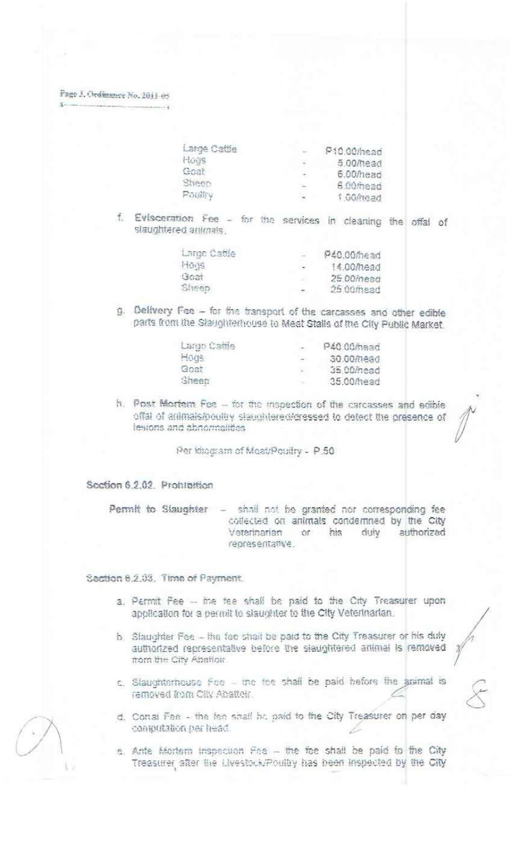Page 3. Ordinance No. 2011-05

| Large Cattle | 1.64    | P10.00/head |
|--------------|---------|-------------|
| Hods         |         | 5.00/head   |
| Goot         | 1992    | 6.00/head   |
| Sheep        | $\sim$  | $5.00$ mead |
| Princip      | $\cdot$ | 1.00/mead   |

f. Evisceration Fee - for the services in cleaning the offal of slaughtered animals

| Large Cattle  |        | P40.00/head |
|---------------|--------|-------------|
| 日本底           | $-100$ | 14.00/head  |
| <b>Iscian</b> |        | 25.00mead   |
| Sheep         |        | 25.00mead   |

g. Delivery Fee - for the transport of the carcasses and other edible parts from the Slaughterhouse to Meat Stalls of the City Public Market.

| Largo Cattle | COL.             | P40.00/head |
|--------------|------------------|-------------|
| Hogs         | $\sim$ 400 $\pm$ | 30.00/head  |
| Goat         |                  | 35.00 mead  |
| Sheep        |                  | 35.00/head  |

h. Post Mortem Fee - for the inspection of the carcasses and edible offal of animals/poultry slaughtered/dressed to detect the presence of lesions and abnormalities

Per khogram of Moat/Poultry - P.50

Soction 6.2.02. Prohibition

Permit to Slaughter - shall not be granted nor corresponding fee collected on animals condemned by the City or his Veterinarian yiub authorized representative.

Section 6.2.03. Time of Payment.

- a. Parmit Fee -- the fee shall be paid to the City Treasurer upon application for a permit to slaughter to the City Veterinarian.
- b. Slaughter Fee the fee shall be paid to the City Treasurer or his duly authorized representative before the siaughtered animal is removed from the City Abaftoir.
- c. Slaughterhouse Foe the fee shall be paid before the animal is ramovad from City Abattoir.
- d. Conai Fee the fee shall be paid to the City Treasurer on per day computation per head.
- e. Ante Mortem inspection Fee the fee shall be paid to the City Treasurer after the Livestock/Poultry has been inspected by the City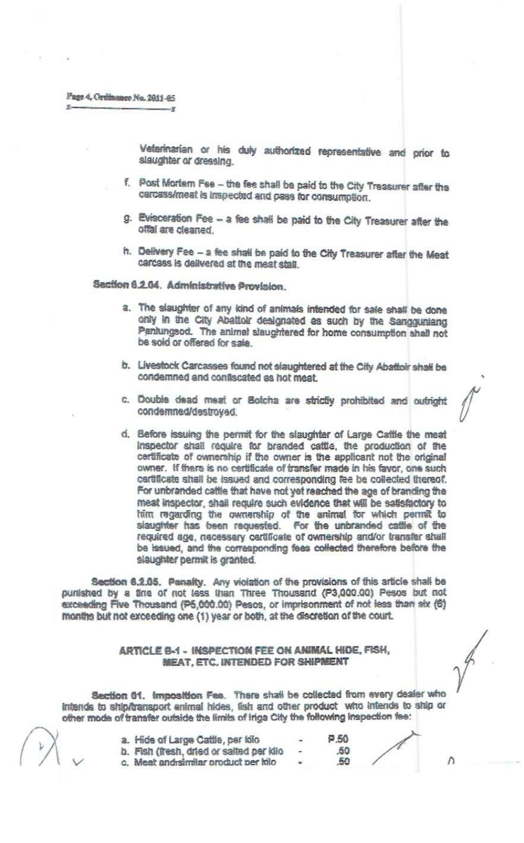Veterinarian or his duty authorized representative and prior to slaughter or dressing.

- f. Post Mortem Fee the fee shall be paid to the City Treasurer after the carcass/meat is inspected and pass for consumption.
- g. Evisceration Fee a fee shall be paid to the City Treasurer after the offal are cleaned.
- h. Delivery Fee a fee shall be paid to the City Treasurer after the Meat carcass is delivered at the meat stall.

Seation 6.2.04. Administrative Provision.

- a. The slaughter of any kind of animals intended for sale shall be done only in the City Abattoir designated as such by the Sangguniang Pantungsod. The animal slaughtered for home consumption shall not be sold or offered for sale.
- b. Livestock Carcasses found not slaughtered at the City Abattoir shall be condemned and confiscated as hot meat.
- c. Double dead meat or Botcha are strictly prohibited and outright condemned/destroyed.
- d. Before issuing the permit for the slaughter of Large Cattle the meat Inspector shall require for branded cattle, the production of the certificate of ownership if the owner is the applicant not the original owner. If there is no certificate of transfer made in his favor, one such certificate shall be issued and corresponding fee be collected thereof. For unbranded cattle that have not yet reached the age of branding the meat inspector, shall require such evidence that will be satisfactory to him regarding the ownership of the animal for which permit to slaughter has been requested. For the unbranded cattle of the required age, necessary cartificate of ownership and/or transfer shall be issued, and the corresponding fees collected therefore before the slaughter permit is granted.

Section 6.2.05. Penalty. Any violation of the provisions of this article shall be purished by a fine of not less than Three Thousand (P3,000.00) Pesos but not exceeding Five Thousand (P5,000.00) Pesos, or imprisonment of not less than six (6) months but not exceeding one (1) year or both, at the discretion of the court.

### ARTICLE B-1 - INSPECTION FEE ON ANIMAL HIDE, FISH, MEAT, ETC. INTENDED FOR SHIPMENT

Section 61. Imposition Fee. There shall be collected from every dealer who intends to ship/transport animal hides, fish and other product who intends to ship or other mode of transfer outside the limits of iriga City the following inspection fee:

a. Hide of Large Cattle, per kilo b. Fish (fresh, dried or salted per kilo c. Meat and similar product per kilo

P.50 .50 50

Λ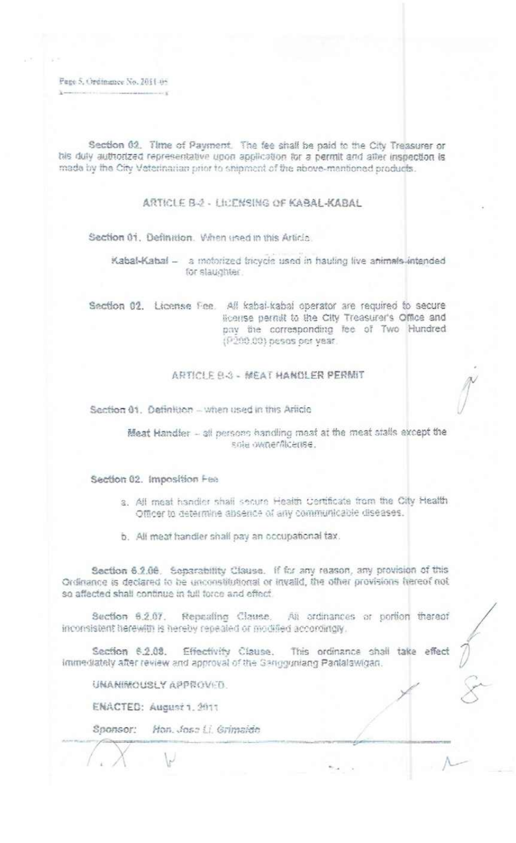Page 5, Ordinance No. 2011 05

Section 02. Time of Payment. The fee shall be paid to the City Treasurer or his duly authorized representative upon application for a permit and after inspection is made by the City Veterinarian prior to shipment of the above-mentioned products.

ARTICLE B-2 - LICENSING OF KABAL-KABAL

Section 01. Definition. Vihen used in this Article.

Kabal-Kabal - a motorized tricycle used in hauling live animals intended for staughter.

Section 02. License Fee. All kabal-kabal operator are required to secure license permit to the City Treasurer's Office and pay the corresponding fee of Two Hundred (P200.00) pesos per year.

## ARTICLE B-3 - MEAT HANDLER PERMIT

Section 01. Definition - when used in this Article

Meat Handler - all persons handling meat at the meat stalls except the sole ownerflicense.

#### Section 02. Imposition Fea

- a. All meat handler shall secure Health Certificate from the City Health Officer to determine absence of any communicable diseases.
- b. All meat handler shall pay an occupational tax.

Section 6.2.06. Separability Clause. If for any reason, any provision of this Ordinance is declared to be unconstitutional or invalid, the other provisions hereof not so affected shall continue in full force and effect.

Section 6.2.07. Repealing Clause. All ordinances or portion thereof inconsistent herewith is hereby repealed or modified accordingly.

Section 6.2.08. Effectivity Clause. This ordinance shall take effect immediately after review and approval of the Gangguniang Panlalawigan.

UNANIMOUSLY APPROVED.

ENACTED: August 1, 2011

Sponsor: Hon. Jose Li. Grimaldo